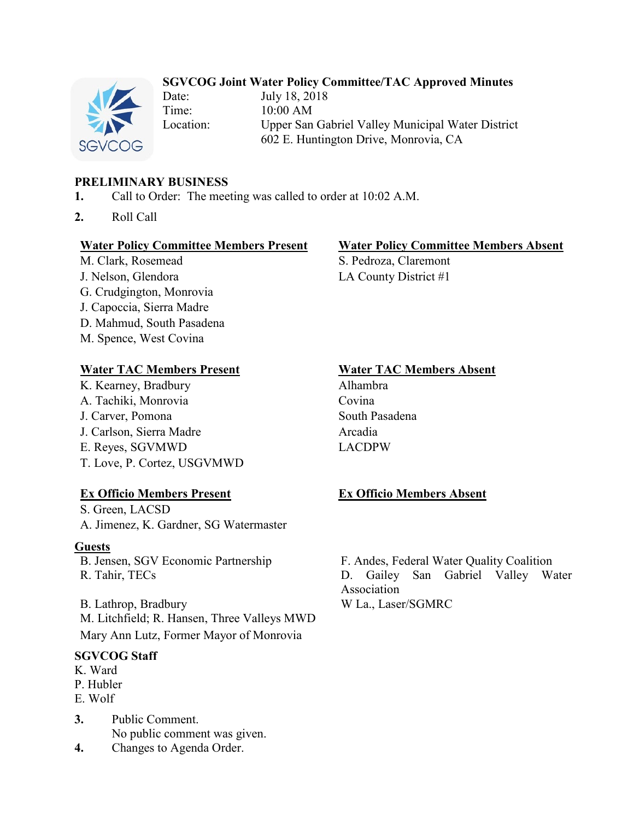### **SGVCOG Joint Water Policy Committee/TAC Approved Minutes**

Date: July 18, 2018 Time: 10:00 AM Location: Upper San Gabriel Valley Municipal Water District 602 E. Huntington Drive, Monrovia, CA

# **PRELIMINARY BUSINESS**

- **1.** Call to Order: The meeting was called to order at 10:02 A.M.
- **2.** Roll Call

### **Water Policy Committee Members Present Water Policy Committee Members Absent**

M. Clark, Rosemead S. Pedroza, Claremont J. Nelson, Glendora LA County District #1 G. Crudgington, Monrovia J. Capoccia, Sierra Madre D. Mahmud, South Pasadena M. Spence, West Covina

# **Water TAC Members Present Water TAC Members Absent**

K. Kearney, Bradbury Alhambra A. Tachiki, Monrovia Covina J. Carver, Pomona South Pasadena J. Carlson, Sierra Madre **Arcadia** E. Reyes, SGVMWD LACDPW T. Love, P. Cortez, USGVMWD

# **Ex Officio Members Present Ex Officio Members Absent**

S. Green, LACSD A. Jimenez, K. Gardner, SG Watermaster

### **Guests**

B. Lathrop, Bradbury W La., Laser/SGMRC M. Litchfield; R. Hansen, Three Valleys MWD Mary Ann Lutz, Former Mayor of Monrovia

### **SGVCOG Staff**

- K. Ward P. Hubler
- E. Wolf
- **3.** Public Comment. No public comment was given. **4.** Changes to Agenda Order.

B. Jensen, SGV Economic Partnership F. Andes, Federal Water Quality Coalition R. Tahir, TECs D. Gailey San Gabriel Valley Water Association